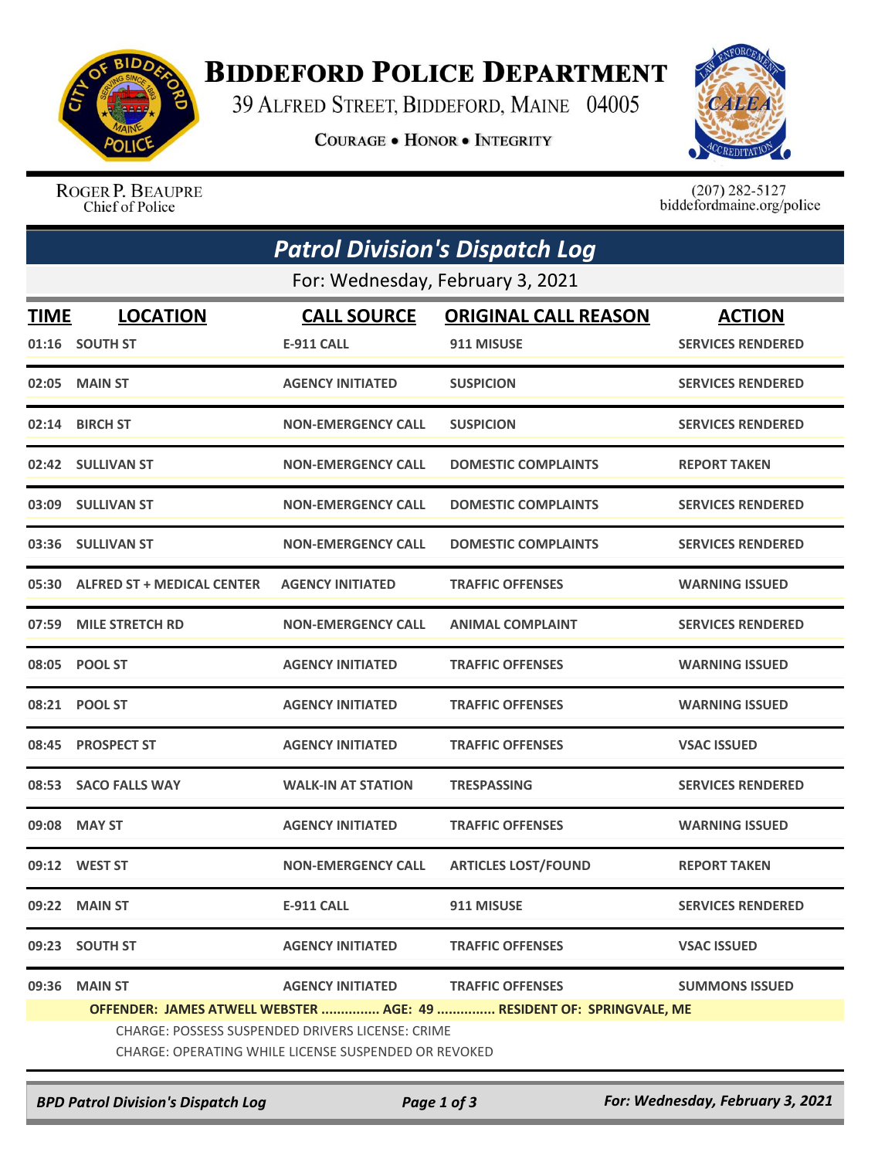

## **BIDDEFORD POLICE DEPARTMENT**

39 ALFRED STREET, BIDDEFORD, MAINE 04005

**COURAGE . HONOR . INTEGRITY** 



ROGER P. BEAUPRE Chief of Police

 $(207)$  282-5127<br>biddefordmaine.org/police

| <b>Patrol Division's Dispatch Log</b> |                                                                      |                           |                             |                          |  |  |  |
|---------------------------------------|----------------------------------------------------------------------|---------------------------|-----------------------------|--------------------------|--|--|--|
| For: Wednesday, February 3, 2021      |                                                                      |                           |                             |                          |  |  |  |
| TIME                                  | <b>LOCATION</b>                                                      | <b>CALL SOURCE</b>        | <b>ORIGINAL CALL REASON</b> | <b>ACTION</b>            |  |  |  |
|                                       | 01:16 SOUTH ST                                                       | <b>E-911 CALL</b>         | 911 MISUSE                  | <b>SERVICES RENDERED</b> |  |  |  |
| 02:05                                 | <b>MAIN ST</b>                                                       | <b>AGENCY INITIATED</b>   | <b>SUSPICION</b>            | <b>SERVICES RENDERED</b> |  |  |  |
| 02:14                                 | <b>BIRCH ST</b>                                                      | <b>NON-EMERGENCY CALL</b> | <b>SUSPICION</b>            | <b>SERVICES RENDERED</b> |  |  |  |
|                                       | 02:42 SULLIVAN ST                                                    | <b>NON-EMERGENCY CALL</b> | <b>DOMESTIC COMPLAINTS</b>  | <b>REPORT TAKEN</b>      |  |  |  |
| 03:09                                 | <b>SULLIVAN ST</b>                                                   | <b>NON-EMERGENCY CALL</b> | <b>DOMESTIC COMPLAINTS</b>  | <b>SERVICES RENDERED</b> |  |  |  |
|                                       | 03:36 SULLIVAN ST                                                    | <b>NON-EMERGENCY CALL</b> | <b>DOMESTIC COMPLAINTS</b>  | <b>SERVICES RENDERED</b> |  |  |  |
| 05:30                                 | <b>ALFRED ST + MEDICAL CENTER</b>                                    | <b>AGENCY INITIATED</b>   | <b>TRAFFIC OFFENSES</b>     | <b>WARNING ISSUED</b>    |  |  |  |
| 07:59                                 | <b>MILE STRETCH RD</b>                                               | <b>NON-EMERGENCY CALL</b> | <b>ANIMAL COMPLAINT</b>     | <b>SERVICES RENDERED</b> |  |  |  |
| 08:05                                 | <b>POOL ST</b>                                                       | <b>AGENCY INITIATED</b>   | <b>TRAFFIC OFFENSES</b>     | <b>WARNING ISSUED</b>    |  |  |  |
| 08:21                                 | <b>POOL ST</b>                                                       | <b>AGENCY INITIATED</b>   | <b>TRAFFIC OFFENSES</b>     | <b>WARNING ISSUED</b>    |  |  |  |
| 08:45                                 | <b>PROSPECT ST</b>                                                   | <b>AGENCY INITIATED</b>   | <b>TRAFFIC OFFENSES</b>     | <b>VSAC ISSUED</b>       |  |  |  |
| 08:53                                 | <b>SACO FALLS WAY</b>                                                | <b>WALK-IN AT STATION</b> | <b>TRESPASSING</b>          | <b>SERVICES RENDERED</b> |  |  |  |
|                                       | 09:08 MAY ST                                                         | <b>AGENCY INITIATED</b>   | <b>TRAFFIC OFFENSES</b>     | <b>WARNING ISSUED</b>    |  |  |  |
|                                       | 09:12 WEST ST                                                        | <b>NON-EMERGENCY CALL</b> | <b>ARTICLES LOST/FOUND</b>  | <b>REPORT TAKEN</b>      |  |  |  |
|                                       | 09:22 MAIN ST                                                        | E-911 CALL                | 911 MISUSE                  | <b>SERVICES RENDERED</b> |  |  |  |
|                                       | 09:23 SOUTH ST                                                       | <b>AGENCY INITIATED</b>   | <b>TRAFFIC OFFENSES</b>     | <b>VSAC ISSUED</b>       |  |  |  |
| 09:36                                 | <b>MAIN ST</b>                                                       | <b>AGENCY INITIATED</b>   | <b>TRAFFIC OFFENSES</b>     | <b>SUMMONS ISSUED</b>    |  |  |  |
|                                       | OFFENDER: JAMES ATWELL WEBSTER  AGE: 49  RESIDENT OF: SPRINGVALE, ME |                           |                             |                          |  |  |  |
|                                       | CHARGE: POSSESS SUSPENDED DRIVERS LICENSE: CRIME                     |                           |                             |                          |  |  |  |
|                                       | CHARGE: OPERATING WHILE LICENSE SUSPENDED OR REVOKED                 |                           |                             |                          |  |  |  |

*BPD Patrol Division's Dispatch Log Page 1 of 3 For: Wednesday, February 3, 2021*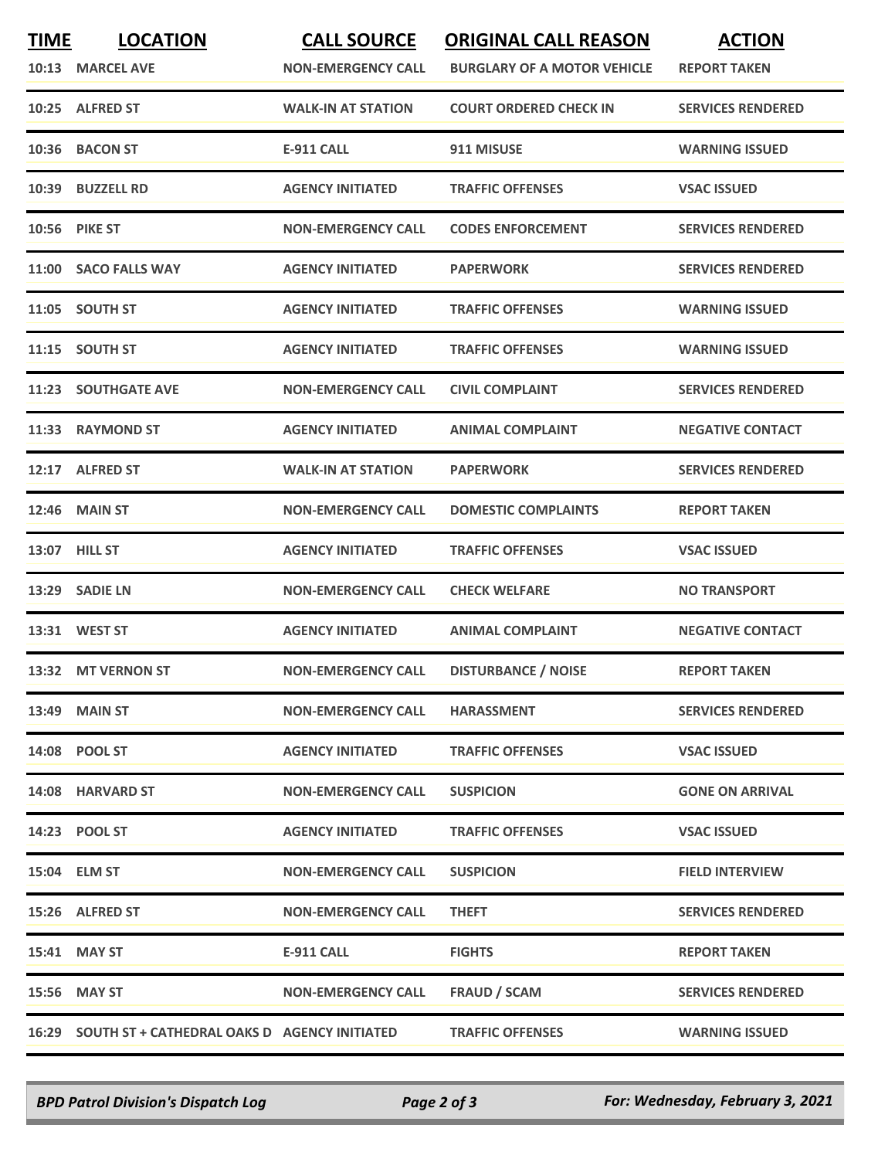| <b>TIME</b> | <b>LOCATION</b>                                    | <b>CALL SOURCE</b>        | <b>ORIGINAL CALL REASON</b>        | <b>ACTION</b>            |
|-------------|----------------------------------------------------|---------------------------|------------------------------------|--------------------------|
|             | 10:13 MARCEL AVE                                   | <b>NON-EMERGENCY CALL</b> | <b>BURGLARY OF A MOTOR VEHICLE</b> | <b>REPORT TAKEN</b>      |
|             | 10:25 ALFRED ST                                    | <b>WALK-IN AT STATION</b> | <b>COURT ORDERED CHECK IN</b>      | <b>SERVICES RENDERED</b> |
| 10:36       | <b>BACON ST</b>                                    | <b>E-911 CALL</b>         | 911 MISUSE                         | <b>WARNING ISSUED</b>    |
|             | 10:39 BUZZELL RD                                   | <b>AGENCY INITIATED</b>   | <b>TRAFFIC OFFENSES</b>            | <b>VSAC ISSUED</b>       |
|             | <b>10:56 PIKE ST</b>                               | <b>NON-EMERGENCY CALL</b> | <b>CODES ENFORCEMENT</b>           | <b>SERVICES RENDERED</b> |
|             | 11:00 SACO FALLS WAY                               | <b>AGENCY INITIATED</b>   | <b>PAPERWORK</b>                   | <b>SERVICES RENDERED</b> |
|             | 11:05 SOUTH ST                                     | <b>AGENCY INITIATED</b>   | <b>TRAFFIC OFFENSES</b>            | <b>WARNING ISSUED</b>    |
|             | 11:15 SOUTH ST                                     | <b>AGENCY INITIATED</b>   | <b>TRAFFIC OFFENSES</b>            | <b>WARNING ISSUED</b>    |
|             | <b>11:23 SOUTHGATE AVE</b>                         | <b>NON-EMERGENCY CALL</b> | <b>CIVIL COMPLAINT</b>             | <b>SERVICES RENDERED</b> |
|             | 11:33 RAYMOND ST                                   | <b>AGENCY INITIATED</b>   | <b>ANIMAL COMPLAINT</b>            | <b>NEGATIVE CONTACT</b>  |
|             | 12:17 ALFRED ST                                    | <b>WALK-IN AT STATION</b> | <b>PAPERWORK</b>                   | <b>SERVICES RENDERED</b> |
|             | <b>12:46 MAIN ST</b>                               | <b>NON-EMERGENCY CALL</b> | <b>DOMESTIC COMPLAINTS</b>         | <b>REPORT TAKEN</b>      |
|             | 13:07 HILL ST                                      | <b>AGENCY INITIATED</b>   | <b>TRAFFIC OFFENSES</b>            | <b>VSAC ISSUED</b>       |
|             | 13:29 SADIE LN                                     | <b>NON-EMERGENCY CALL</b> | <b>CHECK WELFARE</b>               | <b>NO TRANSPORT</b>      |
|             | 13:31 WEST ST                                      | <b>AGENCY INITIATED</b>   | <b>ANIMAL COMPLAINT</b>            | <b>NEGATIVE CONTACT</b>  |
|             | 13:32 MT VERNON ST                                 | <b>NON-EMERGENCY CALL</b> | <b>DISTURBANCE / NOISE</b>         | <b>REPORT TAKEN</b>      |
|             | 13:49 MAIN ST                                      | <b>NON-EMERGENCY CALL</b> | <b>HARASSMENT</b>                  | <b>SERVICES RENDERED</b> |
|             | 14:08 POOL ST                                      | <b>AGENCY INITIATED</b>   | <b>TRAFFIC OFFENSES</b>            | <b>VSAC ISSUED</b>       |
|             | 14:08 HARVARD ST                                   | <b>NON-EMERGENCY CALL</b> | <b>SUSPICION</b>                   | <b>GONE ON ARRIVAL</b>   |
|             | 14:23 POOL ST                                      | <b>AGENCY INITIATED</b>   | <b>TRAFFIC OFFENSES</b>            | <b>VSAC ISSUED</b>       |
|             | 15:04 ELM ST                                       | <b>NON-EMERGENCY CALL</b> | <b>SUSPICION</b>                   | <b>FIELD INTERVIEW</b>   |
|             | 15:26 ALFRED ST                                    | <b>NON-EMERGENCY CALL</b> | <b>THEFT</b>                       | <b>SERVICES RENDERED</b> |
|             | 15:41 MAY ST                                       | E-911 CALL                | <b>FIGHTS</b>                      | <b>REPORT TAKEN</b>      |
|             | 15:56 MAY ST                                       | <b>NON-EMERGENCY CALL</b> | <b>FRAUD / SCAM</b>                | <b>SERVICES RENDERED</b> |
|             | 16:29 SOUTH ST + CATHEDRAL OAKS D AGENCY INITIATED |                           | <b>TRAFFIC OFFENSES</b>            | <b>WARNING ISSUED</b>    |

*BPD Patrol Division's Dispatch Log Page 2 of 3 For: Wednesday, February 3, 2021*